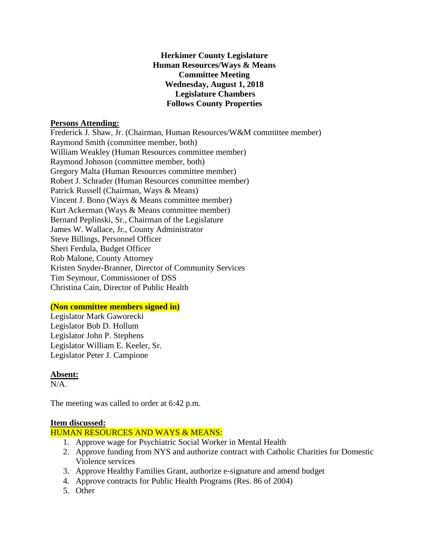## **Herkimer County Legislature Human Resources/Ways & Means Committee Meeting Wednesday, August 1, 2018 Legislature Chambers Follows County Properties**

### **Persons Attending:**

Frederick J. Shaw, Jr. (Chairman, Human Resources/W&M committee member) Raymond Smith (committee member, both) William Weakley (Human Resources committee member) Raymond Johnson (committee member, both) Gregory Malta (Human Resources committee member) Robert J. Schrader (Human Resources committee member) Patrick Russell (Chairman, Ways & Means) Vincent J. Bono (Ways & Means committee member) Kurt Ackerman (Ways & Means committee member) Bernard Peplinski, Sr., Chairman of the Legislature James W. Wallace, Jr., County Administrator Steve Billings, Personnel Officer Sheri Ferdula, Budget Officer Rob Malone, County Attorney Kristen Snyder-Branner, Director of Community Services Tim Seymour, Commissioner of DSS Christina Cain, Director of Public Health

# **(Non committee members signed in)**

Legislator Mark Gaworecki Legislator Bob D. Hollum Legislator John P. Stephens Legislator William E. Keeler, Sr. Legislator Peter J. Campione

# **Absent:**

 $N/A$ .

The meeting was called to order at 6:42 p.m.

#### **Item discussed:**

# HUMAN RESOURCES AND WAYS & MEANS:

- 1. Approve wage for Psychiatric Social Worker in Mental Health
- 2. Approve funding from NYS and authorize contract with Catholic Charities for Domestic Violence services
- 3. Approve Healthy Families Grant, authorize e-signature and amend budget
- 4. Approve contracts for Public Health Programs (Res. 86 of 2004)
- 5. Other